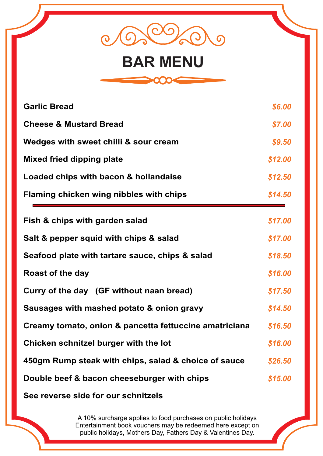

# **BAR MENU**



| <b>Garlic Bread</b>                                    | \$6.00  |
|--------------------------------------------------------|---------|
| <b>Cheese &amp; Mustard Bread</b>                      | \$7.00  |
| Wedges with sweet chilli & sour cream                  | \$9.50  |
| <b>Mixed fried dipping plate</b>                       | \$12.00 |
| Loaded chips with bacon & hollandaise                  |         |
| Flaming chicken wing nibbles with chips                | \$14.50 |
| Fish & chips with garden salad                         | \$17.00 |
| Salt & pepper squid with chips & salad                 |         |
| Seafood plate with tartare sauce, chips & salad        |         |
| <b>Roast of the day</b>                                | \$16.00 |
| Curry of the day (GF without naan bread)               |         |
| Sausages with mashed potato & onion gravy              |         |
| Creamy tomato, onion & pancetta fettuccine amatriciana |         |
| Chicken schnitzel burger with the lot                  |         |
| 450gm Rump steak with chips, salad & choice of sauce   |         |
| Double beef & bacon cheeseburger with chips            |         |
| See reverse side for our schnitzels                    |         |

A 10% surcharge applies to food purchases on public holidays Entertainment book vouchers may be redeemed here except on public holidays, Mothers Day, Fathers Day & Valentines Day.